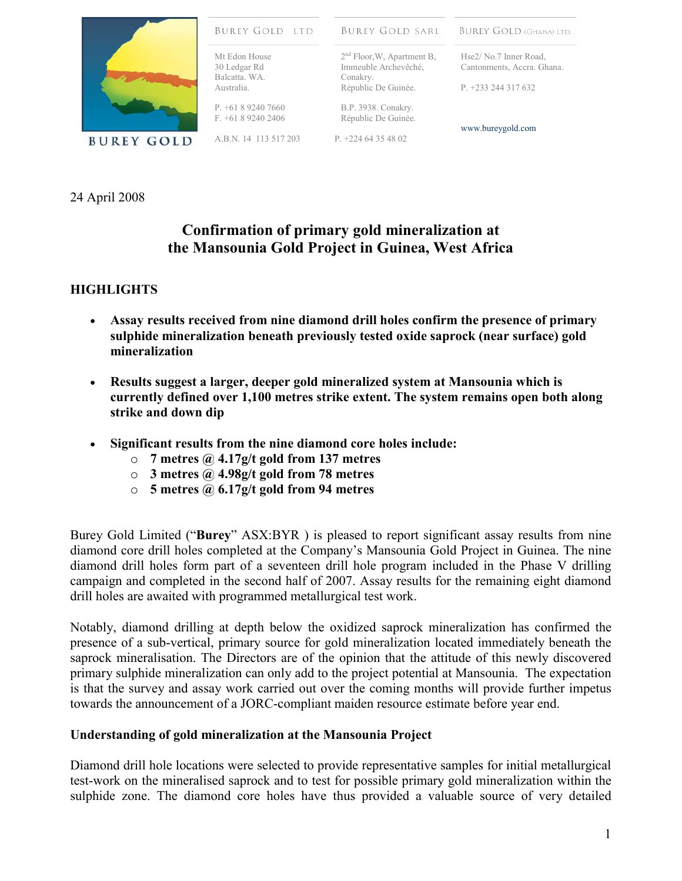

**BUREY GOLD LTD BUREY GOLD (GHANA) LTD. BUREY GOLD SARL** Mt Edon House 2<sup>nd</sup> Floor, W, Apartment B, Hse2/ No.7 Inner Road, 30 Ledgar Rd Immeuble Archevêché, Cantonments, Accra. Ghana. Balcatta. WA. Conakry. Républic De Guinée. Australia. P. +233 244 317 632  $P$  +61 8 9240 7660 B.P. 3938. Conakry.

Républic De Guinée.

A.B.N. 14 113 517 203

F. +61 8 9240 2406

P. +224 64 35 48 02

www.bureygold.com

24 April 2008

# **Confirmation of primary gold mineralization at the Mansounia Gold Project in Guinea, West Africa**

## **HIGHLIGHTS**

- **Assay results received from nine diamond drill holes confirm the presence of primary sulphide mineralization beneath previously tested oxide saprock (near surface) gold mineralization**
- **Results suggest a larger, deeper gold mineralized system at Mansounia which is currently defined over 1,100 metres strike extent. The system remains open both along strike and down dip**
- **Significant results from the nine diamond core holes include:** 
	- o **7 metres @ 4.17g/t gold from 137 metres**
	- o **3 metres @ 4.98g/t gold from 78 metres**
	- o **5 metres @ 6.17g/t gold from 94 metres**

Burey Gold Limited ("**Burey**" ASX:BYR ) is pleased to report significant assay results from nine diamond core drill holes completed at the Company's Mansounia Gold Project in Guinea. The nine diamond drill holes form part of a seventeen drill hole program included in the Phase V drilling campaign and completed in the second half of 2007. Assay results for the remaining eight diamond drill holes are awaited with programmed metallurgical test work.

Notably, diamond drilling at depth below the oxidized saprock mineralization has confirmed the presence of a sub-vertical, primary source for gold mineralization located immediately beneath the saprock mineralisation. The Directors are of the opinion that the attitude of this newly discovered primary sulphide mineralization can only add to the project potential at Mansounia. The expectation is that the survey and assay work carried out over the coming months will provide further impetus towards the announcement of a JORC-compliant maiden resource estimate before year end.

## **Understanding of gold mineralization at the Mansounia Project**

Diamond drill hole locations were selected to provide representative samples for initial metallurgical test-work on the mineralised saprock and to test for possible primary gold mineralization within the sulphide zone. The diamond core holes have thus provided a valuable source of very detailed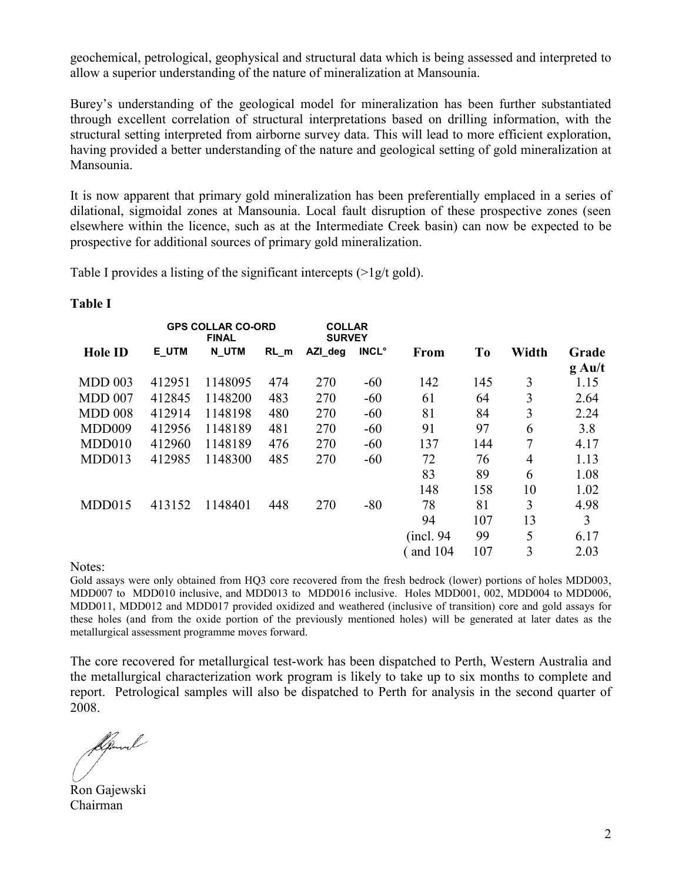geochemical, petrological, geophysical and structural data which is being assessed and interpreted to allow a superior understanding of the nature of mineralization at Mansounia.

Burey's understanding of the geological model for mineralization has been further substantiated through excellent correlation of structural interpretations based on drilling information, with the structural setting interpreted from airborne survey data. This will lead to more efficient exploration, having provided a better understanding of the nature and geological setting of gold mineralization at Mansounia.

It is now apparent that primary gold mineralization has been preferentially emplaced in a series of dilational, sigmoidal zones at Mansounia. Local fault disruption of these prospective zones (seen elsewhere within the licence, such as at the Intermediate Creek basin) can now be expected to be prospective for additional sources of primary gold mineralization.

Table I provides a listing of the significant intercepts (>1g/t gold).

| <b>GPS COLLAR CO-ORD</b><br><b>FINAL</b> |              | <b>COLLAR</b><br><b>SURVEY</b> |         |              |             |                |       |                   |
|------------------------------------------|--------------|--------------------------------|---------|--------------|-------------|----------------|-------|-------------------|
| E UTM                                    | <b>N UTM</b> | RL m                           | AZI deg | <b>INCL°</b> | <b>From</b> | T <sub>0</sub> | Width | Grade<br>$g$ Au/t |
| 412951                                   | 1148095      | 474                            | 270     | $-60$        | 142         | 145            | 3     | 1.15              |
| 412845                                   | 1148200      | 483                            | 270     | $-60$        | 61          | 64             | 3     | 2.64              |
| 412914                                   | 1148198      | 480                            | 270     | $-60$        | 81          | 84             | 3     | 2.24              |
| 412956                                   | 1148189      | 481                            | 270     | $-60$        | 91          | 97             | 6     | 3.8               |
| 412960                                   | 1148189      | 476                            | 270     | $-60$        | 137         | 144            | 7     | 4.17              |
| 412985                                   | 1148300      | 485                            | 270     | $-60$        | 72          | 76             | 4     | 1.13              |
|                                          |              |                                |         |              | 83          | 89             | 6     | 1.08              |
|                                          |              |                                |         |              | 148         | 158            | 10    | 1.02              |
| 413152                                   | 1148401      | 448                            | 270     | $-80$        | 78          | 81             | 3     | 4.98              |
|                                          |              |                                |         |              | 94          | 107            | 13    | 3                 |
|                                          |              |                                |         |              | (incl. 94)  | 99             | 5     | 6.17              |
|                                          |              |                                |         |              | and $104$   | 107            | 3     | 2.03              |
|                                          |              |                                |         |              |             |                |       |                   |

### **Table I**

Notes:

Gold assays were only obtained from HQ3 core recovered from the fresh bedrock (lower) portions of holes MDD003, MDD007 to MDD010 inclusive, and MDD013 to MDD016 inclusive. Holes MDD001, 002, MDD004 to MDD006, MDD011, MDD012 and MDD017 provided oxidized and weathered (inclusive of transition) core and gold assays for these holes (and from the oxide portion of the previously mentioned holes) will be generated at later dates as the metallurgical assessment programme moves forward.

The core recovered for metallurgical test-work has been dispatched to Perth, Western Australia and the metallurgical characterization work program is likely to take up to six months to complete and report. Petrological samples will also be dispatched to Perth for analysis in the second quarter of 2008.

Spenal

Ron Gajewski Chairman